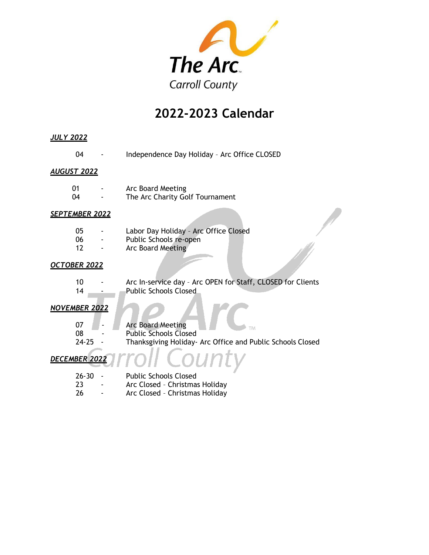

# **2022-2023 Calendar**

| <u>JULY 2022</u>      |                                                                                                                              |
|-----------------------|------------------------------------------------------------------------------------------------------------------------------|
| 04                    | Independence Day Holiday - Arc Office CLOSED                                                                                 |
| <b>AUGUST 2022</b>    |                                                                                                                              |
| 01<br>04              | Arc Board Meeting<br>The Arc Charity Golf Tournament                                                                         |
| <b>SEPTEMBER 2022</b> |                                                                                                                              |
| 05<br>06<br>12        | Labor Day Holiday - Arc Office Closed<br>Public Schools re-open<br>Arc Board Meeting                                         |
| <b>OCTOBER 2022</b>   |                                                                                                                              |
| 10<br>14              | Arc In-service day - Arc OPEN for Staff, CLOSED for Clients<br><b>Public Schools Closed</b>                                  |
| <b>NOVEMBER 2022</b>  |                                                                                                                              |
| 07<br>08<br>$24 - 25$ | <b>Arc Board Meeting</b><br>ГM<br><b>Public Schools Closed</b><br>Thanksgiving Holiday- Arc Office and Public Schools Closed |
| DECEMBER 2022         |                                                                                                                              |
| $26 - 30$<br>23<br>26 | <b>Public Schools Closed</b><br>Arc Closed - Christmas Holiday<br>Arc Closed - Christmas Holiday                             |
|                       |                                                                                                                              |